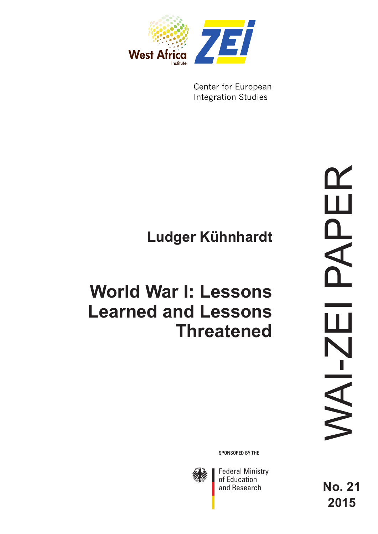

Center for European **Integration Studies** 

# **Ludger Kühnhardt**

# **World War I: Lessons Learned and Lessons Threatened**

WAI-ZEI PAPER APER  $\Box$ VAI-ZI **No. 21** 

**2015**

SPONSORED BY THE



**Federal Ministry** of Education and Research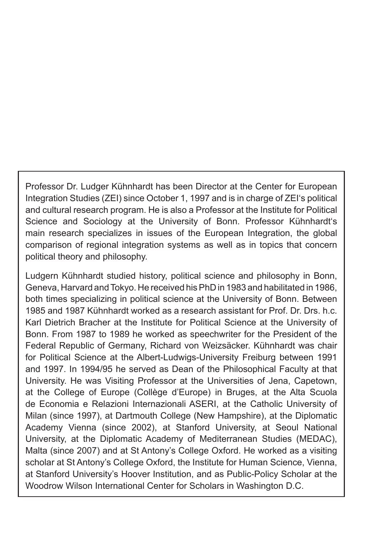Professor Dr. Ludger Kühnhardt has been Director at the Center for European Integration Studies (ZEI) since October 1, 1997 and is in charge of ZEI's political and cultural research program. He is also a Professor at the Institute for Political Science and Sociology at the University of Bonn. Professor Kühnhardt's main research specializes in issues of the European Integration, the global comparison of regional integration systems as well as in topics that concern political theory and philosophy.

Ludgern Kühnhardt studied history, political science and philosophy in Bonn, Geneva, Harvard and Tokyo. He received his PhD in 1983 and habilitated in 1986, both times specializing in political science at the University of Bonn. Between 1985 and 1987 Kühnhardt worked as a research assistant for Prof. Dr. Drs. h.c. Karl Dietrich Bracher at the Institute for Political Science at the University of Bonn. From 1987 to 1989 he worked as speechwriter for the President of the Federal Republic of Germany, Richard von Weizsäcker. Kühnhardt was chair for Political Science at the Albert-Ludwigs-University Freiburg between 1991 and 1997. In 1994/95 he served as Dean of the Philosophical Faculty at that University. He was Visiting Professor at the Universities of Jena, Capetown, at the College of Europe (Collège d'Europe) in Bruges, at the Alta Scuola de Economia e Relazioni Internazionali ASERI, at the Catholic University of Milan (since 1997), at Dartmouth College (New Hampshire), at the Diplomatic Academy Vienna (since 2002), at Stanford University, at Seoul National University, at the Diplomatic Academy of Mediterranean Studies (MEDAC), Malta (since 2007) and at St Antony's College Oxford. He worked as a visiting scholar at St Antony's College Oxford, the Institute for Human Science, Vienna, at Stanford University's Hoover Institution, and as Public-Policy Scholar at the Woodrow Wilson International Center for Scholars in Washington D.C.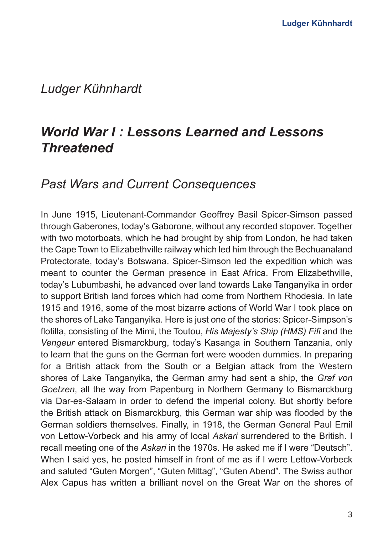## *Ludger Kühnhardt*

# *World War I : Lessons Learned and Lessons Threatened*

### *Past Wars and Current Consequences*

In June 1915, Lieutenant-Commander Geoffrey Basil Spicer-Simson passed through Gaberones, today's Gaborone, without any recorded stopover. Together with two motorboats, which he had brought by ship from London, he had taken the Cape Town to Elizabethville railway which led him through the Bechuanaland Protectorate, today's Botswana. Spicer-Simson led the expedition which was meant to counter the German presence in East Africa. From Elizabethville, today's Lubumbashi, he advanced over land towards Lake Tanganyika in order to support British land forces which had come from Northern Rhodesia. In late 1915 and 1916, some of the most bizarre actions of World War I took place on the shores of Lake Tanganyika. Here is just one of the stories: Spicer-Simpson's flotilla, consisting of the Mimi, the Toutou, *His Majesty's Ship (HMS) Fifi* and the *Vengeur* entered Bismarckburg, today's Kasanga in Southern Tanzania, only to learn that the guns on the German fort were wooden dummies. In preparing for a British attack from the South or a Belgian attack from the Western shores of Lake Tanganyika, the German army had sent a ship, the *Graf von Goetzen*, all the way from Papenburg in Northern Germany to Bismarckburg via Dar-es-Salaam in order to defend the imperial colony. But shortly before the British attack on Bismarckburg, this German war ship was flooded by the German soldiers themselves. Finally, in 1918, the German General Paul Emil von Lettow-Vorbeck and his army of local *Askari* surrendered to the British. I recall meeting one of the *Askari* in the 1970s. He asked me if I were "Deutsch". When I said yes, he posted himself in front of me as if I were Lettow-Vorbeck and saluted "Guten Morgen", "Guten Mittag", "Guten Abend". The Swiss author Alex Capus has written a brilliant novel on the Great War on the shores of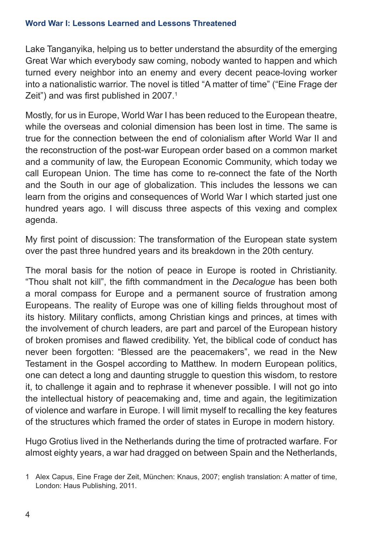Lake Tanganyika, helping us to better understand the absurdity of the emerging Great War which everybody saw coming, nobody wanted to happen and which turned every neighbor into an enemy and every decent peace-loving worker into a nationalistic warrior. The novel is titled "A matter of time" ("Eine Frage der Zeit") and was first published in 2007.<sup>1</sup>

Mostly, for us in Europe, World War I has been reduced to the European theatre, while the overseas and colonial dimension has been lost in time. The same is true for the connection between the end of colonialism after World War II and the reconstruction of the post-war European order based on a common market and a community of law, the European Economic Community, which today we call European Union. The time has come to re-connect the fate of the North and the South in our age of globalization. This includes the lessons we can learn from the origins and consequences of World War I which started just one hundred years ago. I will discuss three aspects of this vexing and complex agenda.

My first point of discussion: The transformation of the European state system over the past three hundred years and its breakdown in the 20th century.

The moral basis for the notion of peace in Europe is rooted in Christianity. "Thou shalt not kill", the fifth commandment in the *Decalogue* has been both a moral compass for Europe and a permanent source of frustration among Europeans. The reality of Europe was one of killing fields throughout most of its history. Military conflicts, among Christian kings and princes, at times with the involvement of church leaders, are part and parcel of the European history of broken promises and flawed credibility. Yet, the biblical code of conduct has never been forgotten: "Blessed are the peacemakers", we read in the New Testament in the Gospel according to Matthew. In modern European politics, one can detect a long and daunting struggle to question this wisdom, to restore it, to challenge it again and to rephrase it whenever possible. I will not go into the intellectual history of peacemaking and, time and again, the legitimization of violence and warfare in Europe. I will limit myself to recalling the key features of the structures which framed the order of states in Europe in modern history.

Hugo Grotius lived in the Netherlands during the time of protracted warfare. For almost eighty years, a war had dragged on between Spain and the Netherlands,

<sup>1</sup> Alex Capus, Eine Frage der Zeit, München: Knaus, 2007; english translation: A matter of time, London: Haus Publishing, 2011.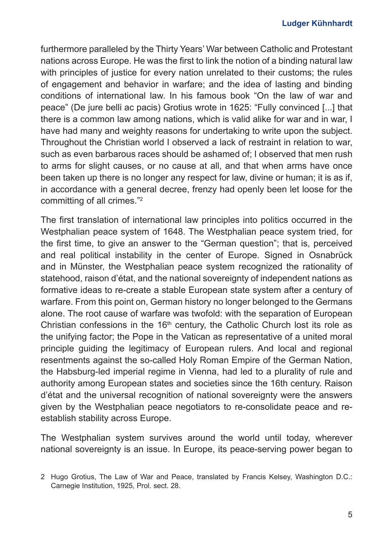furthermore paralleled by the Thirty Years' War between Catholic and Protestant nations across Europe. He was the first to link the notion of a binding natural law with principles of justice for every nation unrelated to their customs; the rules of engagement and behavior in warfare; and the idea of lasting and binding conditions of international law. In his famous book "On the law of war and peace" (De jure belli ac pacis) Grotius wrote in 1625: "Fully convinced [...] that there is a common law among nations, which is valid alike for war and in war, I have had many and weighty reasons for undertaking to write upon the subject. Throughout the Christian world I observed a lack of restraint in relation to war, such as even barbarous races should be ashamed of; I observed that men rush to arms for slight causes, or no cause at all, and that when arms have once been taken up there is no longer any respect for law, divine or human; it is as if, in accordance with a general decree, frenzy had openly been let loose for the committing of all crimes."2

The first translation of international law principles into politics occurred in the Westphalian peace system of 1648. The Westphalian peace system tried, for the first time, to give an answer to the "German question"; that is, perceived and real political instability in the center of Europe. Signed in Osnabrück and in Münster, the Westphalian peace system recognized the rationality of statehood, raison d'état, and the national sovereignty of independent nations as formative ideas to re-create a stable European state system after a century of warfare. From this point on, German history no longer belonged to the Germans alone. The root cause of warfare was twofold: with the separation of European Christian confessions in the  $16<sup>th</sup>$  century, the Catholic Church lost its role as the unifying factor; the Pope in the Vatican as representative of a united moral principle guiding the legitimacy of European rulers. And local and regional resentments against the so-called Holy Roman Empire of the German Nation, the Habsburg-led imperial regime in Vienna, had led to a plurality of rule and authority among European states and societies since the 16th century. Raison d'état and the universal recognition of national sovereignty were the answers given by the Westphalian peace negotiators to re-consolidate peace and reestablish stability across Europe.

The Westphalian system survives around the world until today, wherever national sovereignty is an issue. In Europe, its peace-serving power began to

<sup>2</sup> Hugo Grotius, The Law of War and Peace, translated by Francis Kelsey, Washington D.C.: Carnegie Institution, 1925, Prol. sect. 28.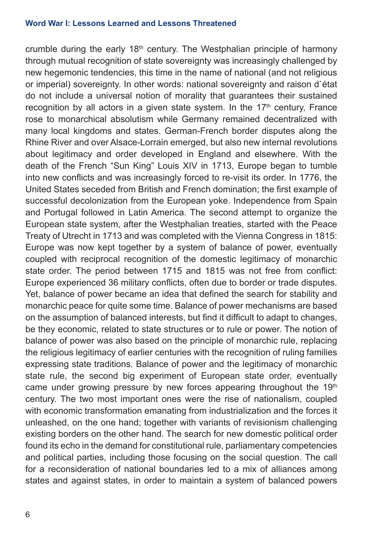crumble during the early  $18<sup>th</sup>$  century. The Westphalian principle of harmony through mutual recognition of state sovereignty was increasingly challenged by new hegemonic tendencies, this time in the name of national (and not religious or imperial) sovereignty. In other words: national sovereignty and raison d`état do not include a universal notion of morality that guarantees their sustained recognition by all actors in a given state system. In the  $17<sup>th</sup>$  century, France rose to monarchical absolutism while Germany remained decentralized with many local kingdoms and states. German-French border disputes along the Rhine River and over Alsace-Lorrain emerged, but also new internal revolutions about legitimacy and order developed in England and elsewhere. With the death of the French "Sun King" Louis XIV in 1713, Europe began to tumble into new conflicts and was increasingly forced to re-visit its order. In 1776, the United States seceded from British and French domination; the first example of successful decolonization from the European yoke. Independence from Spain and Portugal followed in Latin America. The second attempt to organize the European state system, after the Westphalian treaties, started with the Peace Treaty of Utrecht in 1713 and was completed with the Vienna Congress in 1815: Europe was now kept together by a system of balance of power, eventually coupled with reciprocal recognition of the domestic legitimacy of monarchic state order. The period between 1715 and 1815 was not free from conflict: Europe experienced 36 military conflicts, often due to border or trade disputes. Yet, balance of power became an idea that defined the search for stability and monarchic peace for quite some time. Balance of power mechanisms are based on the assumption of balanced interests, but find it difficult to adapt to changes, be they economic, related to state structures or to rule or power. The notion of balance of power was also based on the principle of monarchic rule, replacing the religious legitimacy of earlier centuries with the recognition of ruling families expressing state traditions. Balance of power and the legitimacy of monarchic state rule, the second big experiment of European state order, eventually came under growing pressure by new forces appearing throughout the 19<sup>th</sup> century. The two most important ones were the rise of nationalism, coupled with economic transformation emanating from industrialization and the forces it unleashed, on the one hand; together with variants of revisionism challenging existing borders on the other hand. The search for new domestic political order found its echo in the demand for constitutional rule, parliamentary competencies and political parties, including those focusing on the social question. The call for a reconsideration of national boundaries led to a mix of alliances among states and against states, in order to maintain a system of balanced powers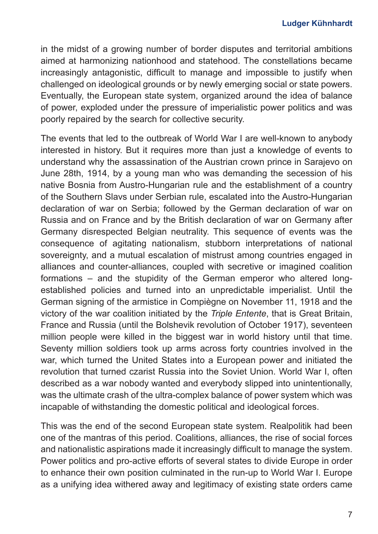in the midst of a growing number of border disputes and territorial ambitions aimed at harmonizing nationhood and statehood. The constellations became increasingly antagonistic, difficult to manage and impossible to justify when challenged on ideological grounds or by newly emerging social or state powers. Eventually, the European state system, organized around the idea of balance of power, exploded under the pressure of imperialistic power politics and was poorly repaired by the search for collective security.

The events that led to the outbreak of World War I are well-known to anybody interested in history. But it requires more than just a knowledge of events to understand why the assassination of the Austrian crown prince in Sarajevo on June 28th, 1914, by a young man who was demanding the secession of his native Bosnia from Austro-Hungarian rule and the establishment of a country of the Southern Slavs under Serbian rule, escalated into the Austro-Hungarian declaration of war on Serbia; followed by the German declaration of war on Russia and on France and by the British declaration of war on Germany after Germany disrespected Belgian neutrality. This sequence of events was the consequence of agitating nationalism, stubborn interpretations of national sovereignty, and a mutual escalation of mistrust among countries engaged in alliances and counter-alliances, coupled with secretive or imagined coalition formations – and the stupidity of the German emperor who altered longestablished policies and turned into an unpredictable imperialist. Until the German signing of the armistice in Compiègne on November 11, 1918 and the victory of the war coalition initiated by the *Triple Entente*, that is Great Britain, France and Russia (until the Bolshevik revolution of October 1917), seventeen million people were killed in the biggest war in world history until that time. Seventy million soldiers took up arms across forty countries involved in the war, which turned the United States into a European power and initiated the revolution that turned czarist Russia into the Soviet Union. World War I, often described as a war nobody wanted and everybody slipped into unintentionally, was the ultimate crash of the ultra-complex balance of power system which was incapable of withstanding the domestic political and ideological forces.

This was the end of the second European state system. Realpolitik had been one of the mantras of this period. Coalitions, alliances, the rise of social forces and nationalistic aspirations made it increasingly difficult to manage the system. Power politics and pro-active efforts of several states to divide Europe in order to enhance their own position culminated in the run-up to World War I. Europe as a unifying idea withered away and legitimacy of existing state orders came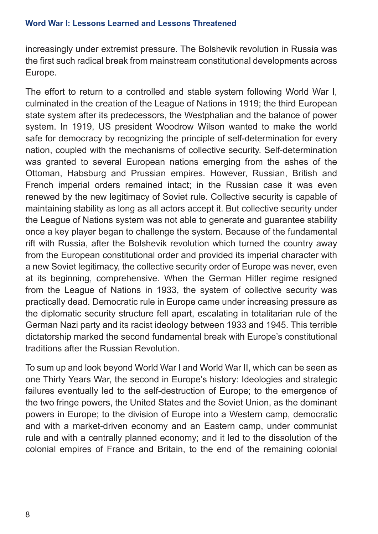increasingly under extremist pressure. The Bolshevik revolution in Russia was the first such radical break from mainstream constitutional developments across Europe.

The effort to return to a controlled and stable system following World War I, culminated in the creation of the League of Nations in 1919; the third European state system after its predecessors, the Westphalian and the balance of power system. In 1919, US president Woodrow Wilson wanted to make the world safe for democracy by recognizing the principle of self-determination for every nation, coupled with the mechanisms of collective security. Self-determination was granted to several European nations emerging from the ashes of the Ottoman, Habsburg and Prussian empires. However, Russian, British and French imperial orders remained intact; in the Russian case it was even renewed by the new legitimacy of Soviet rule. Collective security is capable of maintaining stability as long as all actors accept it. But collective security under the League of Nations system was not able to generate and guarantee stability once a key player began to challenge the system. Because of the fundamental rift with Russia, after the Bolshevik revolution which turned the country away from the European constitutional order and provided its imperial character with a new Soviet legitimacy, the collective security order of Europe was never, even at its beginning, comprehensive. When the German Hitler regime resigned from the League of Nations in 1933, the system of collective security was practically dead. Democratic rule in Europe came under increasing pressure as the diplomatic security structure fell apart, escalating in totalitarian rule of the German Nazi party and its racist ideology between 1933 and 1945. This terrible dictatorship marked the second fundamental break with Europe's constitutional traditions after the Russian Revolution.

To sum up and look beyond World War I and World War II, which can be seen as one Thirty Years War, the second in Europe's history: Ideologies and strategic failures eventually led to the self-destruction of Europe; to the emergence of the two fringe powers, the United States and the Soviet Union, as the dominant powers in Europe; to the division of Europe into a Western camp, democratic and with a market-driven economy and an Eastern camp, under communist rule and with a centrally planned economy; and it led to the dissolution of the colonial empires of France and Britain, to the end of the remaining colonial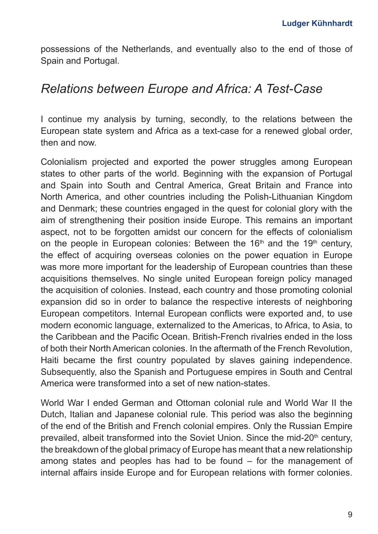possessions of the Netherlands, and eventually also to the end of those of Spain and Portugal.

## *Relations between Europe and Africa: A Test-Case*

I continue my analysis by turning, secondly, to the relations between the European state system and Africa as a text-case for a renewed global order, then and now.

Colonialism projected and exported the power struggles among European states to other parts of the world. Beginning with the expansion of Portugal and Spain into South and Central America, Great Britain and France into North America, and other countries including the Polish-Lithuanian Kingdom and Denmark; these countries engaged in the quest for colonial glory with the aim of strengthening their position inside Europe. This remains an important aspect, not to be forgotten amidst our concern for the effects of colonialism on the people in European colonies: Between the  $16<sup>th</sup>$  and the  $19<sup>th</sup>$  century, the effect of acquiring overseas colonies on the power equation in Europe was more more important for the leadership of European countries than these acquisitions themselves. No single united European foreign policy managed the acquisition of colonies. Instead, each country and those promoting colonial expansion did so in order to balance the respective interests of neighboring European competitors. Internal European conflicts were exported and, to use modern economic language, externalized to the Americas, to Africa, to Asia, to the Caribbean and the Pacific Ocean. British-French rivalries ended in the loss of both their North American colonies. In the aftermath of the French Revolution, Haiti became the first country populated by slaves gaining independence. Subsequently, also the Spanish and Portuguese empires in South and Central America were transformed into a set of new nation-states.

World War I ended German and Ottoman colonial rule and World War II the Dutch, Italian and Japanese colonial rule. This period was also the beginning of the end of the British and French colonial empires. Only the Russian Empire prevailed, albeit transformed into the Soviet Union. Since the mid-20<sup>th</sup> century, the breakdown of the global primacy of Europe has meant that a new relationship among states and peoples has had to be found – for the management of internal affairs inside Europe and for European relations with former colonies.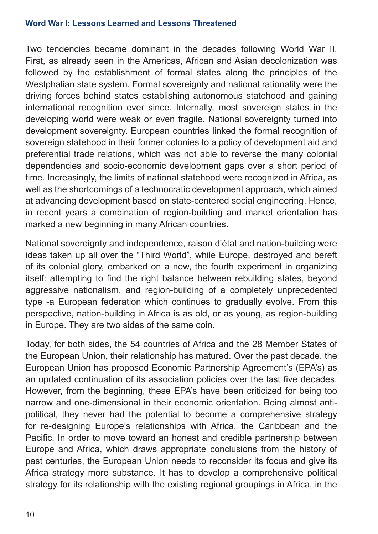Two tendencies became dominant in the decades following World War II. First, as already seen in the Americas, African and Asian decolonization was followed by the establishment of formal states along the principles of the Westphalian state system. Formal sovereignty and national rationality were the driving forces behind states establishing autonomous statehood and gaining international recognition ever since. Internally, most sovereign states in the developing world were weak or even fragile. National sovereignty turned into development sovereignty. European countries linked the formal recognition of sovereign statehood in their former colonies to a policy of development aid and preferential trade relations, which was not able to reverse the many colonial dependencies and socio-economic development gaps over a short period of time. Increasingly, the limits of national statehood were recognized in Africa, as well as the shortcomings of a technocratic development approach, which aimed at advancing development based on state-centered social engineering. Hence, in recent years a combination of region-building and market orientation has marked a new beginning in many African countries.

National sovereignty and independence, raison d'état and nation-building were ideas taken up all over the "Third World", while Europe, destroyed and bereft of its colonial glory, embarked on a new, the fourth experiment in organizing itself: attempting to find the right balance between rebuilding states, beyond aggressive nationalism, and region-building of a completely unprecedented type -a European federation which continues to gradually evolve. From this perspective, nation-building in Africa is as old, or as young, as region-building in Europe. They are two sides of the same coin.

Today, for both sides, the 54 countries of Africa and the 28 Member States of the European Union, their relationship has matured. Over the past decade, the European Union has proposed Economic Partnership Agreement's (EPA's) as an updated continuation of its association policies over the last five decades. However, from the beginning, these EPA's have been criticized for being too narrow and one-dimensional in their economic orientation. Being almost antipolitical, they never had the potential to become a comprehensive strategy for re-designing Europe's relationships with Africa, the Caribbean and the Pacific. In order to move toward an honest and credible partnership between Europe and Africa, which draws appropriate conclusions from the history of past centuries, the European Union needs to reconsider its focus and give its Africa strategy more substance. It has to develop a comprehensive political strategy for its relationship with the existing regional groupings in Africa, in the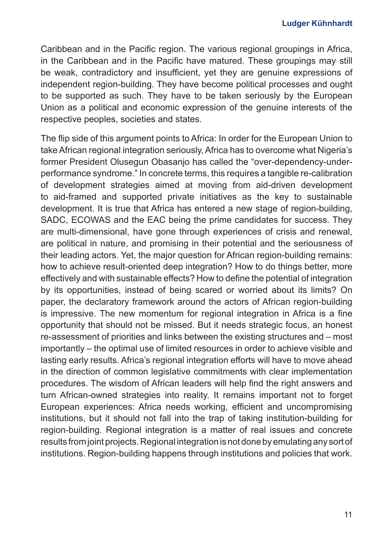Caribbean and in the Pacific region. The various regional groupings in Africa, in the Caribbean and in the Pacific have matured. These groupings may still be weak, contradictory and insufficient, yet they are genuine expressions of independent region-building. They have become political processes and ought to be supported as such. They have to be taken seriously by the European Union as a political and economic expression of the genuine interests of the respective peoples, societies and states.

The flip side of this argument points to Africa: In order for the European Union to take African regional integration seriously, Africa has to overcome what Nigeria's former President Olusegun Obasanjo has called the "over-dependency-underperformance syndrome." In concrete terms, this requires a tangible re-calibration of development strategies aimed at moving from aid-driven development to aid-framed and supported private initiatives as the key to sustainable development. It is true that Africa has entered a new stage of region-building, SADC, ECOWAS and the EAC being the prime candidates for success. They are multi-dimensional, have gone through experiences of crisis and renewal, are political in nature, and promising in their potential and the seriousness of their leading actors. Yet, the major question for African region-building remains: how to achieve result-oriented deep integration? How to do things better, more effectively and with sustainable effects? How to define the potential of integration by its opportunities, instead of being scared or worried about its limits? On paper, the declaratory framework around the actors of African region-building is impressive. The new momentum for regional integration in Africa is a fine opportunity that should not be missed. But it needs strategic focus, an honest re-assessment of priorities and links between the existing structures and – most importantly – the optimal use of limited resources in order to achieve visible and lasting early results. Africa's regional integration efforts will have to move ahead in the direction of common legislative commitments with clear implementation procedures. The wisdom of African leaders will help find the right answers and turn African-owned strategies into reality. It remains important not to forget European experiences: Africa needs working, efficient and uncompromising institutions, but it should not fall into the trap of taking institution-building for region-building. Regional integration is a matter of real issues and concrete results from joint projects. Regional integration is not done by emulating any sort of institutions. Region-building happens through institutions and policies that work.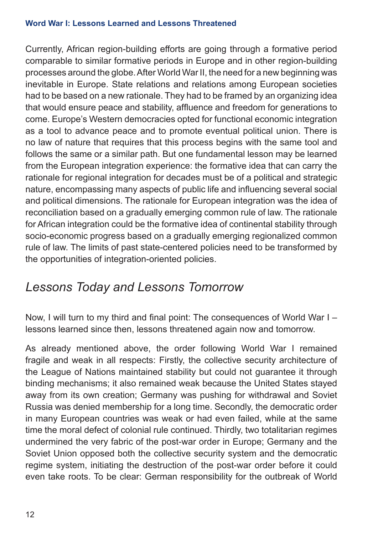Currently, African region-building efforts are going through a formative period comparable to similar formative periods in Europe and in other region-building processes around the globe. After World War II, the need for a new beginning was inevitable in Europe. State relations and relations among European societies had to be based on a new rationale. They had to be framed by an organizing idea that would ensure peace and stability, affluence and freedom for generations to come. Europe's Western democracies opted for functional economic integration as a tool to advance peace and to promote eventual political union. There is no law of nature that requires that this process begins with the same tool and follows the same or a similar path. But one fundamental lesson may be learned from the European integration experience: the formative idea that can carry the rationale for regional integration for decades must be of a political and strategic nature, encompassing many aspects of public life and influencing several social and political dimensions. The rationale for European integration was the idea of reconciliation based on a gradually emerging common rule of law. The rationale for African integration could be the formative idea of continental stability through socio-economic progress based on a gradually emerging regionalized common rule of law. The limits of past state-centered policies need to be transformed by the opportunities of integration-oriented policies.

# *Lessons Today and Lessons Tomorrow*

Now, I will turn to my third and final point: The consequences of World War I – lessons learned since then, lessons threatened again now and tomorrow.

As already mentioned above, the order following World War I remained fragile and weak in all respects: Firstly, the collective security architecture of the League of Nations maintained stability but could not guarantee it through binding mechanisms; it also remained weak because the United States stayed away from its own creation; Germany was pushing for withdrawal and Soviet Russia was denied membership for a long time. Secondly, the democratic order in many European countries was weak or had even failed, while at the same time the moral defect of colonial rule continued. Thirdly, two totalitarian regimes undermined the very fabric of the post-war order in Europe; Germany and the Soviet Union opposed both the collective security system and the democratic regime system, initiating the destruction of the post-war order before it could even take roots. To be clear: German responsibility for the outbreak of World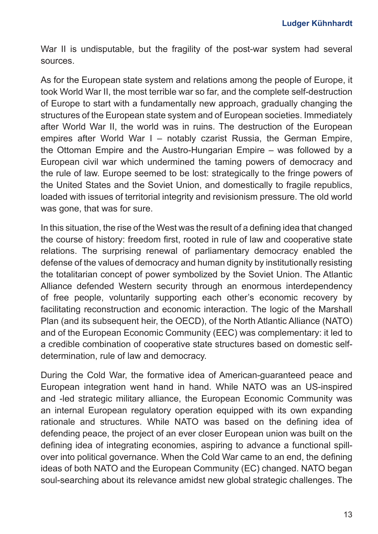War II is undisputable, but the fragility of the post-war system had several sources.

As for the European state system and relations among the people of Europe, it took World War II, the most terrible war so far, and the complete self-destruction of Europe to start with a fundamentally new approach, gradually changing the structures of the European state system and of European societies. Immediately after World War II, the world was in ruins. The destruction of the European empires after World War I – notably czarist Russia, the German Empire, the Ottoman Empire and the Austro-Hungarian Empire – was followed by a European civil war which undermined the taming powers of democracy and the rule of law. Europe seemed to be lost: strategically to the fringe powers of the United States and the Soviet Union, and domestically to fragile republics, loaded with issues of territorial integrity and revisionism pressure. The old world was gone, that was for sure.

In this situation, the rise of the West was the result of a defining idea that changed the course of history: freedom first, rooted in rule of law and cooperative state relations. The surprising renewal of parliamentary democracy enabled the defense of the values of democracy and human dignity by institutionally resisting the totalitarian concept of power symbolized by the Soviet Union. The Atlantic Alliance defended Western security through an enormous interdependency of free people, voluntarily supporting each other's economic recovery by facilitating reconstruction and economic interaction. The logic of the Marshall Plan (and its subsequent heir, the OECD), of the North Atlantic Alliance (NATO) and of the European Economic Community (EEC) was complementary: it led to a credible combination of cooperative state structures based on domestic selfdetermination, rule of law and democracy.

During the Cold War, the formative idea of American-guaranteed peace and European integration went hand in hand. While NATO was an US-inspired and -led strategic military alliance, the European Economic Community was an internal European regulatory operation equipped with its own expanding rationale and structures. While NATO was based on the defining idea of defending peace, the project of an ever closer European union was built on the defining idea of integrating economies, aspiring to advance a functional spillover into political governance. When the Cold War came to an end, the defining ideas of both NATO and the European Community (EC) changed. NATO began soul-searching about its relevance amidst new global strategic challenges. The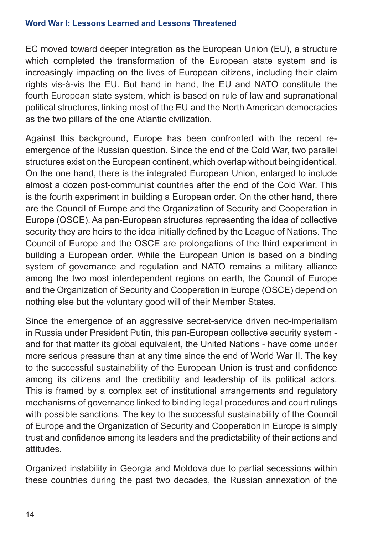EC moved toward deeper integration as the European Union (EU), a structure which completed the transformation of the European state system and is increasingly impacting on the lives of European citizens, including their claim rights vis-à-vis the EU. But hand in hand, the EU and NATO constitute the fourth European state system, which is based on rule of law and supranational political structures, linking most of the EU and the North American democracies as the two pillars of the one Atlantic civilization.

Against this background, Europe has been confronted with the recent reemergence of the Russian question. Since the end of the Cold War, two parallel structures exist on the European continent, which overlap without being identical. On the one hand, there is the integrated European Union, enlarged to include almost a dozen post-communist countries after the end of the Cold War. This is the fourth experiment in building a European order. On the other hand, there are the Council of Europe and the Organization of Security and Cooperation in Europe (OSCE). As pan-European structures representing the idea of collective security they are heirs to the idea initially defined by the League of Nations. The Council of Europe and the OSCE are prolongations of the third experiment in building a European order. While the European Union is based on a binding system of governance and regulation and NATO remains a military alliance among the two most interdependent regions on earth, the Council of Europe and the Organization of Security and Cooperation in Europe (OSCE) depend on nothing else but the voluntary good will of their Member States.

Since the emergence of an aggressive secret-service driven neo-imperialism in Russia under President Putin, this pan-European collective security system and for that matter its global equivalent, the United Nations - have come under more serious pressure than at any time since the end of World War II. The key to the successful sustainability of the European Union is trust and confidence among its citizens and the credibility and leadership of its political actors. This is framed by a complex set of institutional arrangements and regulatory mechanisms of governance linked to binding legal procedures and court rulings with possible sanctions. The key to the successful sustainability of the Council of Europe and the Organization of Security and Cooperation in Europe is simply trust and confidence among its leaders and the predictability of their actions and attitudes.

Organized instability in Georgia and Moldova due to partial secessions within these countries during the past two decades, the Russian annexation of the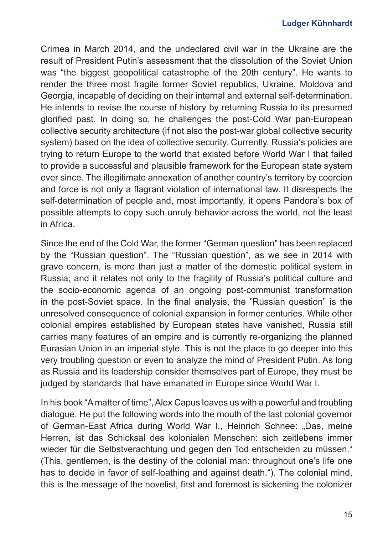Crimea in March 2014, and the undeclared civil war in the Ukraine are the result of President Putin's assessment that the dissolution of the Soviet Union was "the biggest geopolitical catastrophe of the 20th century". He wants to render the three most fragile former Soviet republics, Ukraine, Moldova and Georgia, incapable of deciding on their internal and external self-determination. He intends to revise the course of history by returning Russia to its presumed glorified past. In doing so, he challenges the post-Cold War pan-European collective security architecture (if not also the post-war global collective security system) based on the idea of collective security. Currently, Russia's policies are trying to return Europe to the world that existed before World War I that failed to provide a successful and plausible framework for the European state system ever since. The illegitimate annexation of another country's territory by coercion and force is not only a flagrant violation of international law. It disrespects the self-determination of people and, most importantly, it opens Pandora's box of possible attempts to copy such unruly behavior across the world, not the least in Africa.

Since the end of the Cold War, the former "German question" has been replaced by the "Russian question". The "Russian question", as we see in 2014 with grave concern, is more than just a matter of the domestic political system in Russia; and it relates not only to the fragility of Russia's political culture and the socio-economic agenda of an ongoing post-communist transformation in the post-Soviet space. In the final analysis, the "Russian question" is the unresolved consequence of colonial expansion in former centuries. While other colonial empires established by European states have vanished, Russia still carries many features of an empire and is currently re-organizing the planned Eurasian Union in an imperial style. This is not the place to go deeper into this very troubling question or even to analyze the mind of President Putin. As long as Russia and its leadership consider themselves part of Europe, they must be judged by standards that have emanated in Europe since World War I.

In his book "A matter of time", Alex Capus leaves us with a powerful and troubling dialogue. He put the following words into the mouth of the last colonial governor of German-East Africa during World War I., Heinrich Schnee: "Das, meine Herren, ist das Schicksal des kolonialen Menschen: sich zeitlebens immer wieder für die Selbstverachtung und gegen den Tod entscheiden zu müssen." (This, gentlemen, is the destiny of the colonial man: throughout one's life one has to decide in favor of self-loathing and against death."). The colonial mind, this is the message of the novelist, first and foremost is sickening the colonizer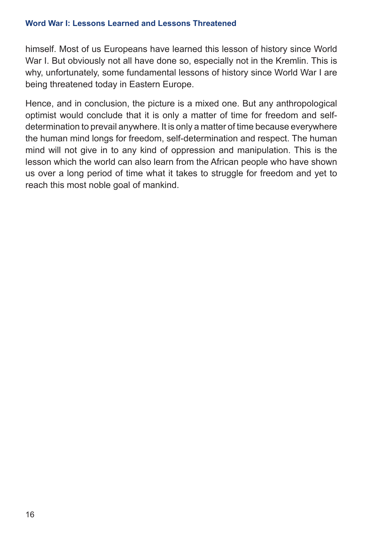himself. Most of us Europeans have learned this lesson of history since World War I. But obviously not all have done so, especially not in the Kremlin. This is why, unfortunately, some fundamental lessons of history since World War I are being threatened today in Eastern Europe.

Hence, and in conclusion, the picture is a mixed one. But any anthropological optimist would conclude that it is only a matter of time for freedom and selfdetermination to prevail anywhere. It is only a matter of time because everywhere the human mind longs for freedom, self-determination and respect. The human mind will not give in to any kind of oppression and manipulation. This is the lesson which the world can also learn from the African people who have shown us over a long period of time what it takes to struggle for freedom and yet to reach this most noble goal of mankind.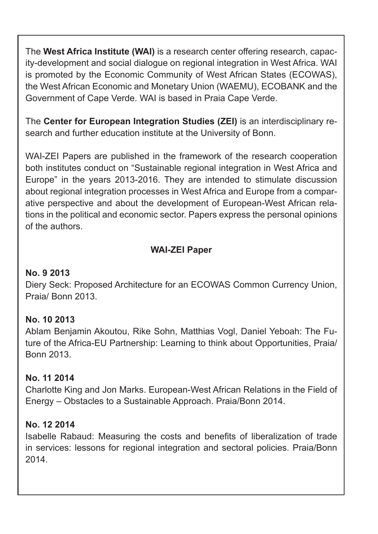The **West Africa Institute (WAI)** is a research center offering research, capacity-development and social dialogue on regional integration in West Africa. WAI is promoted by the Economic Community of West African States (ECOWAS), the West African Economic and Monetary Union (WAEMU), ECOBANK and the Government of Cape Verde. WAI is based in Praia Cape Verde.

The **Center for European Integration Studies (ZEI)** is an interdisciplinary research and further education institute at the University of Bonn.

WAI-ZEI Papers are published in the framework of the research cooperation both institutes conduct on "Sustainable regional integration in West Africa and Europe" in the years 2013-2016. They are intended to stimulate discussion about regional integration processes in West Africa and Europe from a comparative perspective and about the development of European-West African relations in the political and economic sector. Papers express the personal opinions of the authors.

#### **WAI-ZEI Paper**

#### **No. 9 2013**

Diery Seck: Proposed Architecture for an ECOWAS Common Currency Union, Praia/ Bonn 2013.

#### **No. 10 2013**

Ablam Benjamin Akoutou, Rike Sohn, Matthias Vogl, Daniel Yeboah: The Future of the Africa-EU Partnership: Learning to think about Opportunities, Praia/ Bonn 2013.

#### **No. 11 2014**

Charlotte King and Jon Marks. European-West African Relations in the Field of Energy – Obstacles to a Sustainable Approach. Praia/Bonn 2014.

#### **No. 12 2014**

Isabelle Rabaud: Measuring the costs and benefits of liberalization of trade in services: lessons for regional integration and sectoral policies. Praia/Bonn 2014.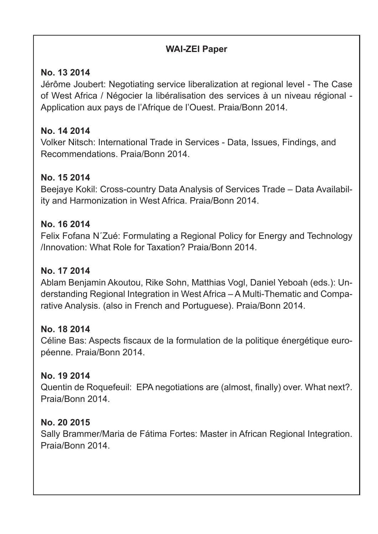#### **WAI-ZEI Paper**

#### **No. 13 2014**

Jérôme Joubert: Negotiating service liberalization at regional level - The Case of West Africa / Négocier la libéralisation des services à un niveau régional - Application aux pays de l'Afrique de l'Ouest. Praia/Bonn 2014.

#### **No. 14 2014**

Volker Nitsch: International Trade in Services - Data, Issues, Findings, and Recommendations. Praia/Bonn 2014.

#### **No. 15 2014**

Beejaye Kokil: Cross-country Data Analysis of Services Trade – Data Availability and Harmonization in West Africa. Praia/Bonn 2014.

#### **No. 16 2014**

Felix Fofana N´Zué: Formulating a Regional Policy for Energy and Technology /Innovation: What Role for Taxation? Praia/Bonn 2014.

#### **No. 17 2014**

Ablam Benjamin Akoutou, Rike Sohn, Matthias Vogl, Daniel Yeboah (eds.): Understanding Regional Integration in West Africa – A Multi-Thematic and Comparative Analysis. (also in French and Portuguese). Praia/Bonn 2014.

#### **No. 18 2014**

Céline Bas: Aspects fiscaux de la formulation de la politique énergétique européenne. Praia/Bonn 2014.

### **No. 19 2014**

Quentin de Roquefeuil: EPA negotiations are (almost, finally) over. What next?. Praia/Bonn 2014.

#### **No. 20 2015**

Sally Brammer/Maria de Fátima Fortes: Master in African Regional Integration. Praia/Bonn 2014.